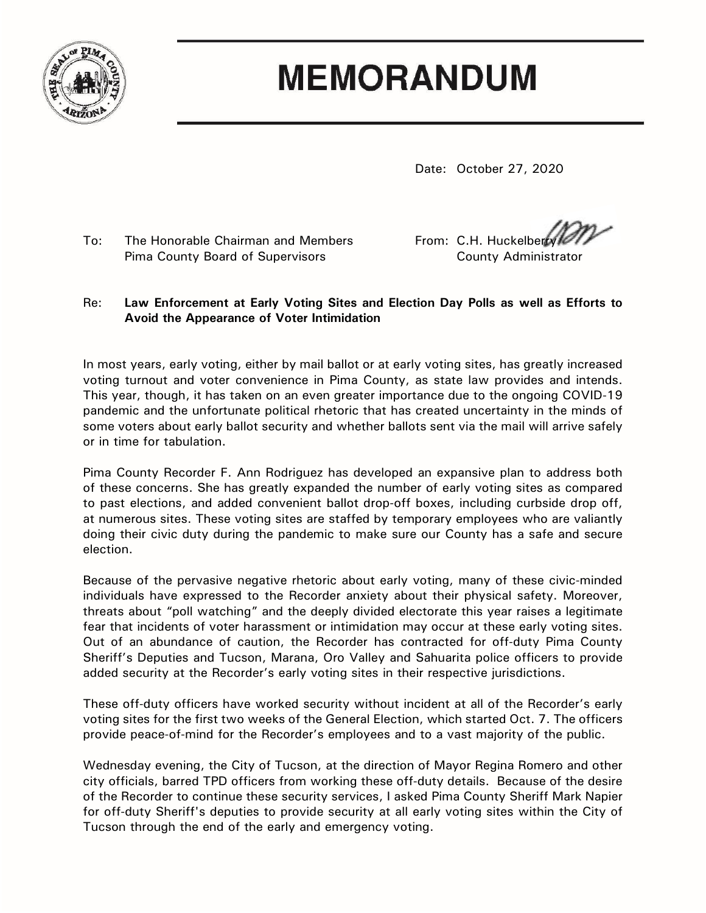

## **MEMORANDUM**

Date: October 27, 2020

Pima County Board of Supervisors County Administrator

To: The Honorable Chairman and Members From: C.H. Huckelberry

## Re: **Law Enforcement at Early Voting Sites and Election Day Polls as well as Efforts to Avoid the Appearance of Voter Intimidation**

In most years, early voting, either by mail ballot or at early voting sites, has greatly increased voting turnout and voter convenience in Pima County, as state law provides and intends. This year, though, it has taken on an even greater importance due to the ongoing COVID-19 pandemic and the unfortunate political rhetoric that has created uncertainty in the minds of some voters about early ballot security and whether ballots sent via the mail will arrive safely or in time for tabulation.

Pima County Recorder F. Ann Rodriguez has developed an expansive plan to address both of these concerns. She has greatly expanded the number of early voting sites as compared to past elections, and added convenient ballot drop-off boxes, including curbside drop off, at numerous sites. These voting sites are staffed by temporary employees who are valiantly doing their civic duty during the pandemic to make sure our County has a safe and secure election.

Because of the pervasive negative rhetoric about early voting, many of these civic-minded individuals have expressed to the Recorder anxiety about their physical safety. Moreover, threats about "poll watching" and the deeply divided electorate this year raises a legitimate fear that incidents of voter harassment or intimidation may occur at these early voting sites. Out of an abundance of caution, the Recorder has contracted for off-duty Pima County Sheriff's Deputies and Tucson, Marana, Oro Valley and Sahuarita police officers to provide added security at the Recorder's early voting sites in their respective jurisdictions.

These off-duty officers have worked security without incident at all of the Recorder's early voting sites for the first two weeks of the General Election, which started Oct. 7. The officers provide peace-of-mind for the Recorder's employees and to a vast majority of the public.

Wednesday evening, the City of Tucson, at the direction of Mayor Regina Romero and other city officials, barred TPD officers from working these off-duty details. Because of the desire of the Recorder to continue these security services, I asked Pima County Sheriff Mark Napier for off-duty Sheriff's deputies to provide security at all early voting sites within the City of Tucson through the end of the early and emergency voting.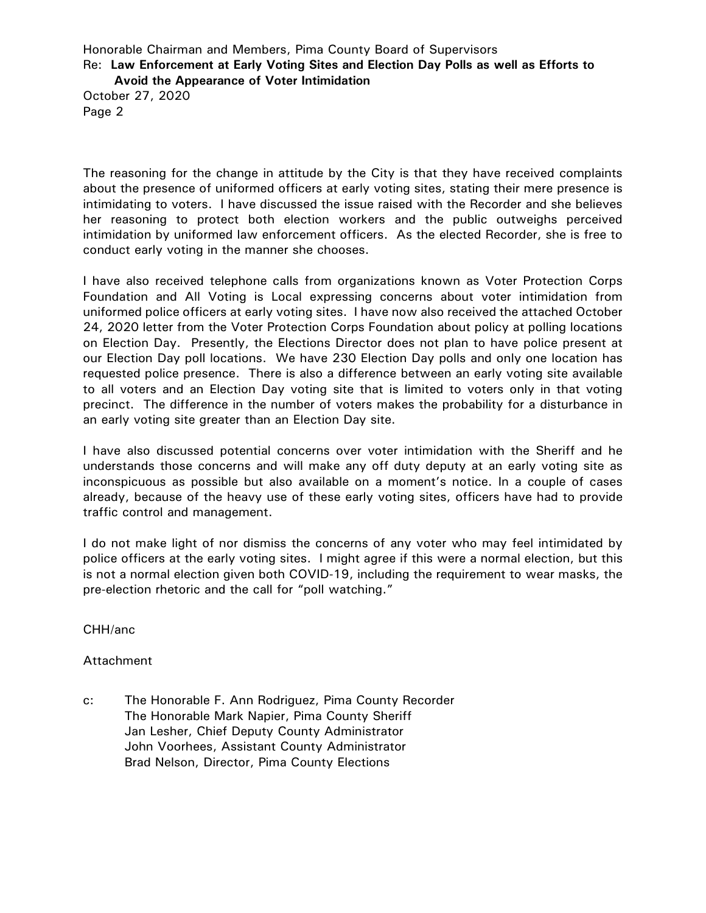Honorable Chairman and Members, Pima County Board of Supervisors Re: **Law Enforcement at Early Voting Sites and Election Day Polls as well as Efforts to** 

**Avoid the Appearance of Voter Intimidation**

October 27, 2020 Page 2

The reasoning for the change in attitude by the City is that they have received complaints about the presence of uniformed officers at early voting sites, stating their mere presence is intimidating to voters. I have discussed the issue raised with the Recorder and she believes her reasoning to protect both election workers and the public outweighs perceived intimidation by uniformed law enforcement officers. As the elected Recorder, she is free to conduct early voting in the manner she chooses.

I have also received telephone calls from organizations known as Voter Protection Corps Foundation and All Voting is Local expressing concerns about voter intimidation from uniformed police officers at early voting sites. I have now also received the attached October 24, 2020 letter from the Voter Protection Corps Foundation about policy at polling locations on Election Day. Presently, the Elections Director does not plan to have police present at our Election Day poll locations. We have 230 Election Day polls and only one location has requested police presence. There is also a difference between an early voting site available to all voters and an Election Day voting site that is limited to voters only in that voting precinct. The difference in the number of voters makes the probability for a disturbance in an early voting site greater than an Election Day site.

I have also discussed potential concerns over voter intimidation with the Sheriff and he understands those concerns and will make any off duty deputy at an early voting site as inconspicuous as possible but also available on a moment's notice. In a couple of cases already, because of the heavy use of these early voting sites, officers have had to provide traffic control and management.

I do not make light of nor dismiss the concerns of any voter who may feel intimidated by police officers at the early voting sites. I might agree if this were a normal election, but this is not a normal election given both COVID-19, including the requirement to wear masks, the pre-election rhetoric and the call for "poll watching."

CHH/anc

## Attachment

c: The Honorable F. Ann Rodriguez, Pima County Recorder The Honorable Mark Napier, Pima County Sheriff Jan Lesher, Chief Deputy County Administrator John Voorhees, Assistant County Administrator Brad Nelson, Director, Pima County Elections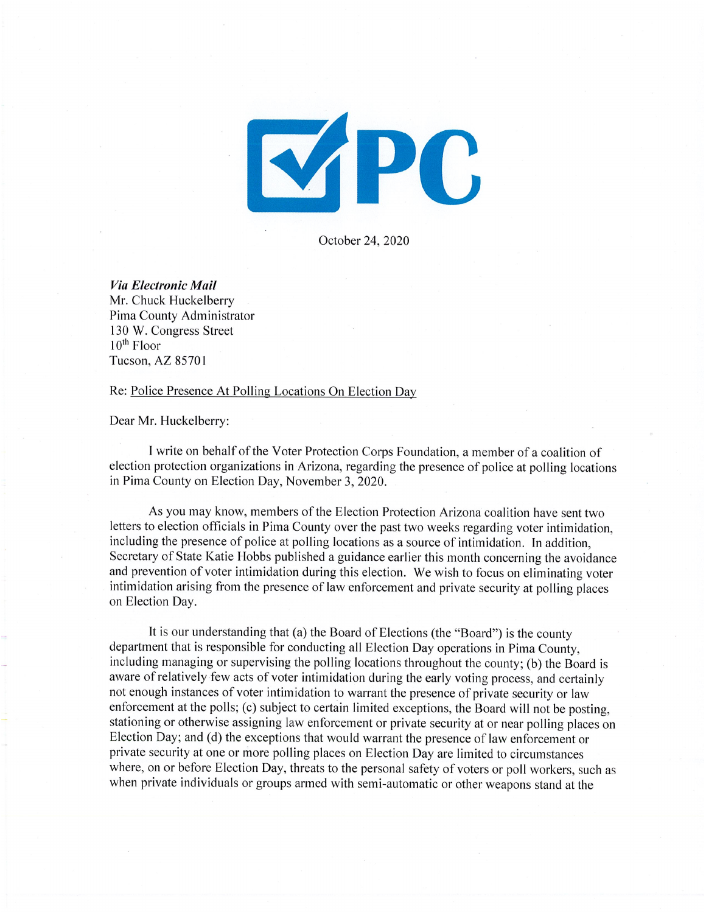

October 24, 2020

Via Electronic Mail Mr. Chuck Huckelberry Pima County Administrator 130 W. Congress Street  $10^{th}$  Floor Tucson, AZ 85701

Re: Police Presence At Polling Locations On Election Day

Dear Mr. Huckelberry:

I write on behalf of the Voter Protection Corps Foundation, a member of a coalition of election protection organizations in Arizona, regarding the presence of police at polling locations in Pima County on Election Day, November 3, 2020.

As you may know, members of the Election Protection Arizona coalition have sent two letters to election officials in Pima County over the past two weeks regarding voter intimidation. including the presence of police at polling locations as a source of intimidation. In addition, Secretary of State Katie Hobbs published a guidance earlier this month concerning the avoidance and prevention of voter intimidation during this election. We wish to focus on eliminating voter intimidation arising from the presence of law enforcement and private security at polling places on Election Day.

It is our understanding that (a) the Board of Elections (the "Board") is the county department that is responsible for conducting all Election Day operations in Pima County, including managing or supervising the polling locations throughout the county; (b) the Board is aware of relatively few acts of voter intimidation during the early voting process, and certainly not enough instances of voter intimidation to warrant the presence of private security or law enforcement at the polls; (c) subject to certain limited exceptions, the Board will not be posting, stationing or otherwise assigning law enforcement or private security at or near polling places on Election Day; and (d) the exceptions that would warrant the presence of law enforcement or private security at one or more polling places on Election Day are limited to circumstances where, on or before Election Day, threats to the personal safety of voters or poll workers, such as when private individuals or groups armed with semi-automatic or other weapons stand at the